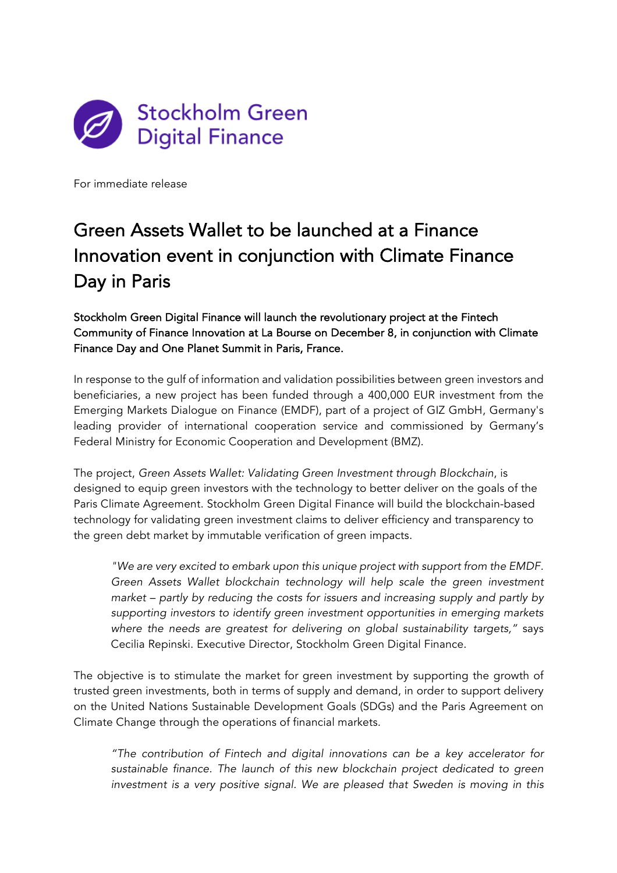

For immediate release

# Green Assets Wallet to be launched at a Finance Innovation event in conjunction with Climate Finance Day in Paris

Stockholm Green Digital Finance will launch the revolutionary project at the Fintech Community of Finance Innovation at La Bourse on December 8, in conjunction with Climate Finance Day and One Planet Summit in Paris, France.

In response to the gulf of information and validation possibilities between green investors and beneficiaries, a new project has been funded through a 400,000 EUR investment from the Emerging Markets Dialogue on Finance (EMDF), part of a project of GIZ GmbH, Germany's leading provider of international cooperation service and commissioned by Germany's Federal Ministry for Economic Cooperation and Development (BMZ).

The project, *Green Assets Wallet: Validating Green Investment through Blockchain*, is designed to equip green investors with the technology to better deliver on the goals of the Paris Climate Agreement. Stockholm Green Digital Finance will build the blockchain-based technology for validating green investment claims to deliver efficiency and transparency to the green debt market by immutable verification of green impacts.

*"We are very excited to embark upon this unique project with support from the EMDF.*  Green Assets Wallet blockchain technology will help scale the green investment *market – partly by reducing the costs for issuers and increasing supply and partly by supporting investors to identify green investment opportunities in emerging markets where the needs are greatest for delivering on global sustainability targets,"* says Cecilia Repinski. Executive Director, Stockholm Green Digital Finance.

The objective is to stimulate the market for green investment by supporting the growth of trusted green investments, both in terms of supply and demand, in order to support delivery on the United Nations Sustainable Development Goals (SDGs) and the Paris Agreement on Climate Change through the operations of financial markets.

*"The contribution of Fintech and digital innovations can be a key accelerator for sustainable finance. The launch of this new blockchain project dedicated to green investment is a very positive signal. We are pleased that Sweden is moving in this*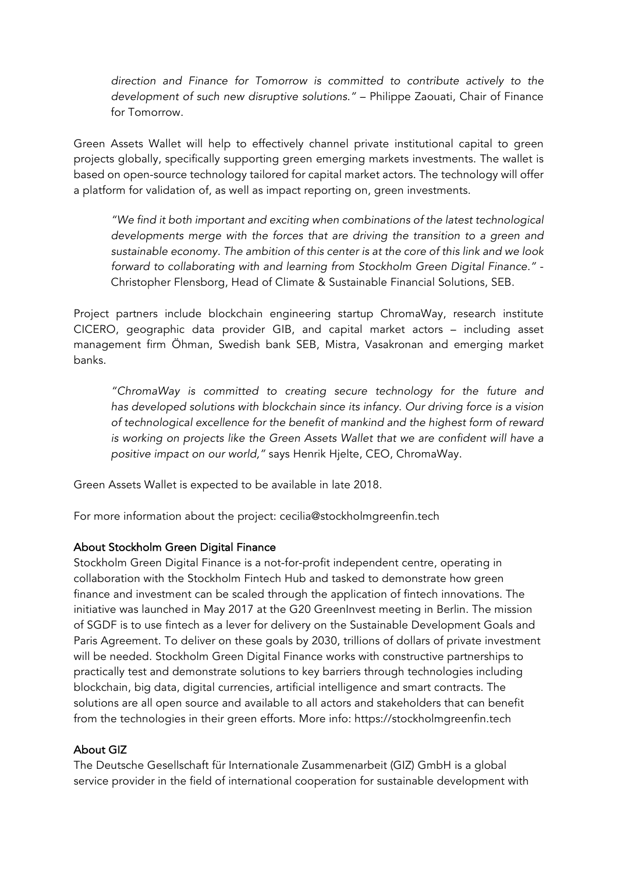*direction and Finance for Tomorrow is committed to contribute actively to the development of such new disruptive solutions."* – Philippe Zaouati, Chair of Finance for Tomorrow.

Green Assets Wallet will help to effectively channel private institutional capital to green projects globally, specifically supporting green emerging markets investments. The wallet is based on open-source technology tailored for capital market actors. The technology will offer a platform for validation of, as well as impact reporting on, green investments.

*"We find it both important and exciting when combinations of the latest technological developments merge with the forces that are driving the transition to a green and sustainable economy. The ambition of this center is at the core of this link and we look forward to collaborating with and learning from Stockholm Green Digital Finance."* - Christopher Flensborg, Head of Climate & Sustainable Financial Solutions, SEB.

Project partners include blockchain engineering startup ChromaWay, research institute CICERO, geographic data provider GIB, and capital market actors – including asset management firm Öhman, Swedish bank SEB, Mistra, Vasakronan and emerging market banks.

*"ChromaWay is committed to creating secure technology for the future and has developed solutions with blockchain since its infancy. Our driving force is a vision of technological excellence for the benefit of mankind and the highest form of reward is working on projects like the Green Assets Wallet that we are confident will have a positive impact on our world,"* says Henrik Hjelte, CEO, ChromaWay.

Green Assets Wallet is expected to be available in late 2018.

For more information about the project: cecilia@stockholmgreenfin.tech

## About Stockholm Green Digital Finance

Stockholm Green Digital Finance is a not-for-profit independent centre, operating in collaboration with the Stockholm Fintech Hub and tasked to demonstrate how green finance and investment can be scaled through the application of fintech innovations. The initiative was launched in May 2017 at the G20 GreenInvest meeting in Berlin. The mission of SGDF is to use fintech as a lever for delivery on the Sustainable Development Goals and Paris Agreement. To deliver on these goals by 2030, trillions of dollars of private investment will be needed. Stockholm Green Digital Finance works with constructive partnerships to practically test and demonstrate solutions to key barriers through technologies including blockchain, big data, digital currencies, artificial intelligence and smart contracts. The solutions are all open source and available to all actors and stakeholders that can benefit from the technologies in their green efforts. More info: https://stockholmgreenfin.tech

## About GIZ

The Deutsche Gesellschaft für Internationale Zusammenarbeit (GIZ) GmbH is a global service provider in the field of international cooperation for sustainable development with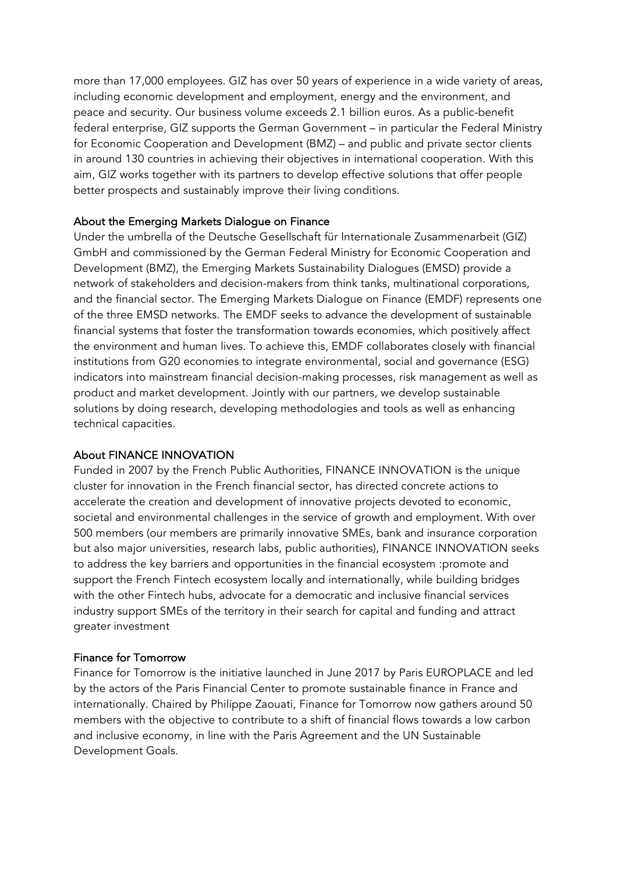more than 17,000 employees. GIZ has over 50 years of experience in a wide variety of areas, including economic development and employment, energy and the environment, and peace and security. Our business volume exceeds 2.1 billion euros. As a public-benefit federal enterprise, GIZ supports the German Government – in particular the Federal Ministry for Economic Cooperation and Development (BMZ) – and public and private sector clients in around 130 countries in achieving their objectives in international cooperation. With this aim, GIZ works together with its partners to develop effective solutions that offer people better prospects and sustainably improve their living conditions.

### About the Emerging Markets Dialogue on Finance

Under the umbrella of the Deutsche Gesellschaft für Internationale Zusammenarbeit (GIZ) GmbH and commissioned by the German Federal Ministry for Economic Cooperation and Development (BMZ), the Emerging Markets Sustainability Dialogues (EMSD) provide a network of stakeholders and decision-makers from think tanks, multinational corporations, and the financial sector. The Emerging Markets Dialogue on Finance (EMDF) represents one of the three EMSD networks. The EMDF seeks to advance the development of sustainable financial systems that foster the transformation towards economies, which positively affect the environment and human lives. To achieve this, EMDF collaborates closely with financial institutions from G20 economies to integrate environmental, social and governance (ESG) indicators into mainstream financial decision-making processes, risk management as well as product and market development. Jointly with our partners, we develop sustainable solutions by doing research, developing methodologies and tools as well as enhancing technical capacities.

## About FINANCE INNOVATION

Funded in 2007 by the French Public Authorities, FINANCE INNOVATION is the unique cluster for innovation in the French financial sector, has directed concrete actions to accelerate the creation and development of innovative projects devoted to economic, societal and environmental challenges in the service of growth and employment. With over 500 members (our members are primarily innovative SMEs, bank and insurance corporation but also major universities, research labs, public authorities), FINANCE INNOVATION seeks to address the key barriers and opportunities in the financial ecosystem :promote and support the French Fintech ecosystem locally and internationally, while building bridges with the other Fintech hubs, advocate for a democratic and inclusive financial services industry support SMEs of the territory in their search for capital and funding and attract greater investment

#### Finance for Tomorrow

Finance for Tomorrow is the initiative launched in June 2017 by Paris EUROPLACE and led by the actors of the Paris Financial Center to promote sustainable finance in France and internationally. Chaired by Philippe Zaouati, Finance for Tomorrow now gathers around 50 members with the objective to contribute to a shift of financial flows towards a low carbon and inclusive economy, in line with the Paris Agreement and the UN Sustainable Development Goals.